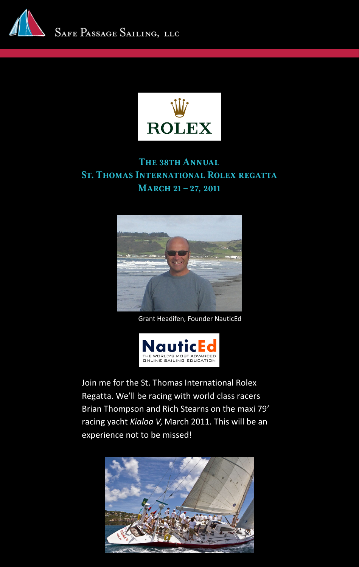



## The 38th Annual St. Thomas International Rolex regatta MARCH 21 – 27, 2011



Grant Headifen, Founder NauticEd



Join me for the St. Thomas International Rolex Regatta. We'll be racing with world class racers Brian Thompson and Rich Stearns on the maxi 79' racing yacht *Kialoa V*, March 2011. This will be an experience not to be missed!

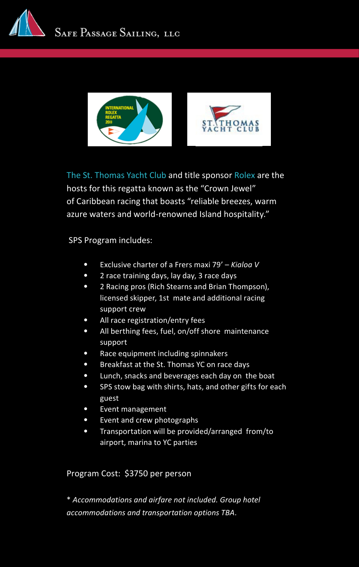



[The St. Thomas Yacht Club](http://www.styc.net) and title sponsor [Rolex](http://www.rolexcupregatta.com) are the hosts for this regatta known as the "Crown Jewel" of Caribbean racing that boasts "reliable breezes, warm azure waters and world-renowned Island hospitality."

SPS Program includes:

- Exclusive charter of a Frers maxi 79' *Kialoa V*
- 2 race training days, lay day, 3 race days
- 2 Racing pros (Rich Stearns and Brian Thompson), licensed skipper, 1st mate and additional racing support crew
- All race registration/entry fees
- All berthing fees, fuel, on/off shore maintenance support
- Race equipment including spinnakers
- Breakfast at the St. Thomas YC on race days
- Lunch, snacks and beverages each day on the boat
- SPS stow bag with shirts, hats, and other gifts for each guest
- Event management
- Event and crew photographs
- Transportation will be provided/arranged from/to airport, marina to YC parties

### Program Cost: \$3750 per person

\* *Accommodations and airfare not included. Group hotel accommodations and transportation options TBA.*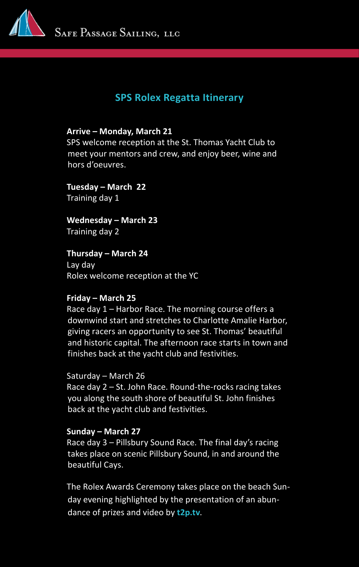

# **SPS Rolex Regatta Itinerary**

### **Arrive – Monday, March 21**

SPS welcome reception at the St. Thomas Yacht Club to meet your mentors and crew, and enjoy beer, wine and hors d'oeuvres.

**Tuesday – March 22** Training day 1

**Wednesday – March 23** Training day 2

**Thursday – March 24** Lay day Rolex welcome reception at the YC

### **Friday – March 25**

Race day 1 – Harbor Race. The morning course offers a downwind start and stretches to Charlotte Amalie Harbor, giving racers an opportunity to see St. Thomas' beautiful and historic capital. The afternoon race starts in town and finishes back at the yacht club and festivities.

Saturday – March 26

Race day 2 – St. John Race. Round-the-rocks racing takes you along the south shore of beautiful St. John finishes back at the yacht club and festivities.

### **Sunday – March 27**

Race day 3 – Pillsbury Sound Race. The final day's racing takes place on scenic Pillsbury Sound, in and around the beautiful Cays.

The Rolex Awards Ceremony takes place on the beach Sunday evening highlighted by the presentation of an abundance of prizes and video by **[t2p.tv](http://www.rolexcupregatta.com/index2.php)**.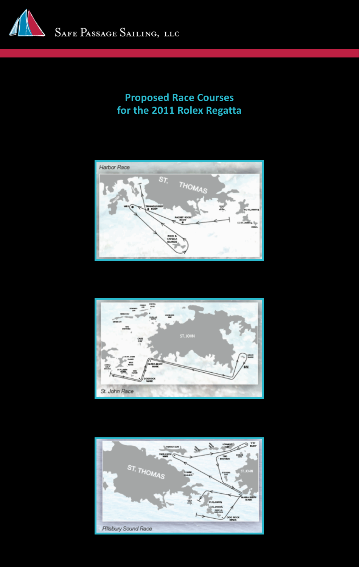

# **Proposed Race Courses for the 2011 Rolex Regatta**





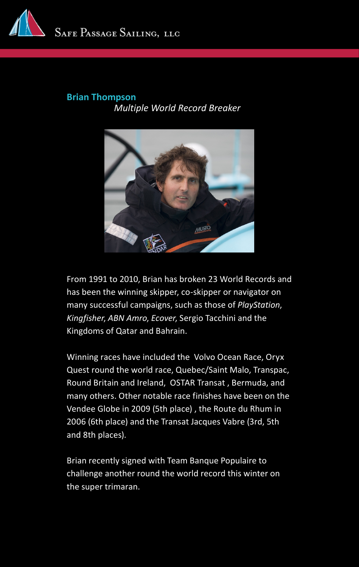

### **[Brian Thompson](http://safepassagesailing.com/brianthompson.html)** *Multiple World Record Breaker*



From 1991 to 2010, Brian has broken 23 World Records and has been the winning skipper, co-skipper or navigator on many successful campaigns, such as those of *PlayStation*, *Kingfisher*, *ABN Amro*, *Ecover*, Sergio Tacchini and the Kingdoms of Qatar and Bahrain.

Winning races have included the Volvo Ocean Race, Oryx Quest round the world race, Quebec/Saint Malo, Transpac, Round Britain and Ireland, OSTAR Transat , Bermuda, and many others. Other notable race finishes have been on the Vendee Globe in 2009 (5th place) , the Route du Rhum in 2006 (6th place) and the Transat Jacques Vabre (3rd, 5th and 8th places).

Brian recently signed with Team Banque Populaire to challenge another round the world record this winter on the super trimaran.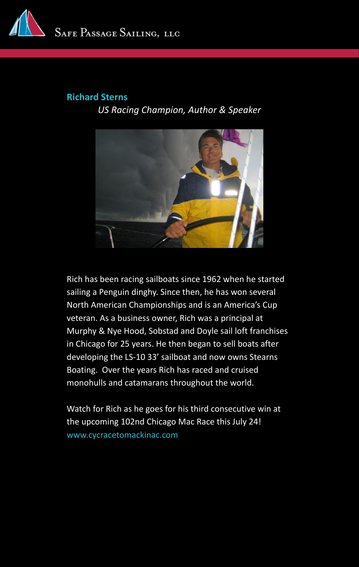

### **[Richard Sterns](http://safepassagesailing.com/richardstearns.html)**

*US Racing Champion, Author & Speaker* 



Rich has been racing sailboats since 1962 when he started sailing a Penguin dinghy. Since then, he has won several North American Championships and is an America's Cup veteran. As a business owner, Rich was a principal at Murphy & Nye Hood, Sobstad and Doyle sail loft franchises in Chicago for 25 years. He then began to sell boats after developing the LS-10 33' sailboat and now owns Stearns Boating. Over the years Rich has raced and cruised monohulls and catamarans throughout the world.

Watch for Rich as he goes for his third consecutive win at the upcoming 102nd Chicago Mac Race this July 24! [www.cycracetomackinac.com](http://www.cycracetomackinac.com)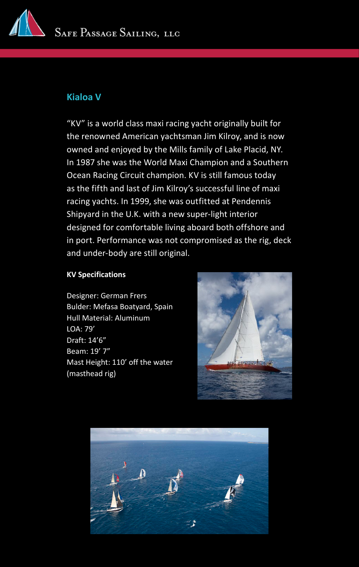

### **Kialoa V**

"KV" is a world class maxi racing yacht originally built for the renowned American yachtsman Jim Kilroy, and is now owned and enjoyed by the Mills family of Lake Placid, NY. In 1987 she was the World Maxi Champion and a Southern Ocean Racing Circuit champion. KV is still famous today as the fifth and last of Jim Kilroy's successful line of maxi racing yachts. In 1999, she was outfitted at Pendennis Shipyard in the U.K. with a new super-light interior designed for comfortable living aboard both offshore and in port. Performance was not compromised as the rig, deck and under-body are still original.

#### **KV Specifications**

Designer: German Frers Bulder: Mefasa Boatyard, Spain Hull Material: Aluminum LOA: 79' Draft: 14'6" Beam: 19' 7" Mast Height: 110' off the water (masthead rig)